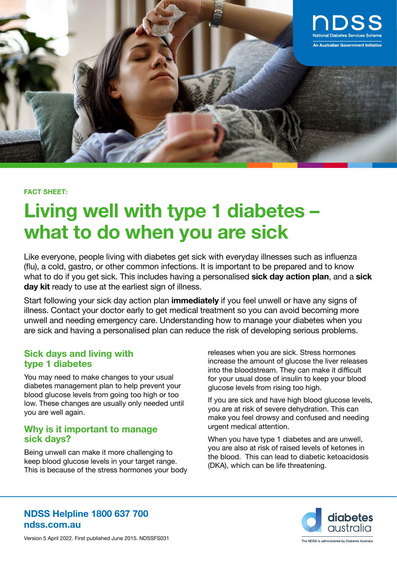

#### **FACT SHEET:**

# **Living well with type 1 diabetes – what to do when you are sick**

Like everyone, people living with diabetes get sick with everyday illnesses such as influenza (flu), a cold, gastro, or other common infections. It is important to be prepared and to know what to do if you get sick. This includes having a personalised **sick day action plan**, and a **sick**  day kit ready to use at the earliest sign of illness.

Start following your sick day action plan **immediately** if you feel unwell or have any signs of illness. Contact your doctor early to get medical treatment so you can avoid becoming more unwell and needing emergency care. Understanding how to manage your diabetes when you are sick and having a personalised plan can reduce the risk of developing serious problems.

### **Sick days and living with type 1 diabetes**

You may need to make changes to your usual diabetes management plan to help prevent your blood glucose levels from going too high or too low. These changes are usually only needed until you are well again.

#### **Why is it important to manage sick days?**

Being unwell can make it more challenging to keep blood glucose levels in your target range. This is because of the stress hormones your body releases when you are sick. Stress hormones increase the amount of glucose the liver releases into the bloodstream. They can make it difficult for your usual dose of insulin to keep your blood glucose levels from rising too high.

If you are sick and have high blood glucose levels, you are at risk of severe dehydration. This can make you feel drowsy and confused and needing urgent medical attention.

When you have type 1 diabetes and are unwell, you are also at risk of raised levels of ketones in the blood. This can lead to diabetic ketoacidosis (DKA), which can be life threatening.



## **NDSS Helpline 1800 637 700 ndss.com.au**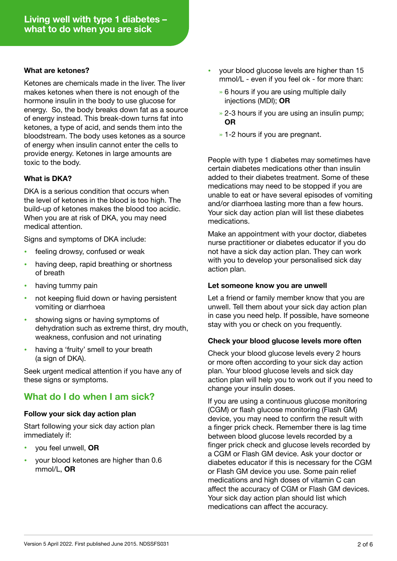#### **What are ketones?**

Ketones are chemicals made in the liver. The liver makes ketones when there is not enough of the hormone insulin in the body to use glucose for energy. So, the body breaks down fat as a source of energy instead. This break-down turns fat into ketones, a type of acid, and sends them into the bloodstream. The body uses ketones as a source of energy when insulin cannot enter the cells to provide energy. Ketones in large amounts are toxic to the body.

#### **What is DKA?**

DKA is a serious condition that occurs when the level of ketones in the blood is too high. The build-up of ketones makes the blood too acidic. When you are at risk of DKA, you may need medical attention.

Signs and symptoms of DKA include:

- **•** feeling drowsy, confused or weak
- **•** having deep, rapid breathing or shortness of breath
- **•** having tummy pain
- **•** not keeping fluid down or having persistent vomiting or diarrhoea
- **•** showing signs or having symptoms of dehydration such as extreme thirst, dry mouth, weakness, confusion and not urinating
- **•** having a 'fruity' smell to your breath (a sign of DKA).

Seek urgent medical attention if you have any of these signs or symptoms.

## **What do I do when I am sick?**

#### **Follow your sick day action plan**

Start following your sick day action plan immediately if:

- **•** you feel unwell, **OR**
- **•** your blood ketones are higher than 0.6 mmol/L, **OR**
- **•** your blood glucose levels are higher than 15 mmol/L - even if you feel ok - for more than:
	- » 6 hours if you are using multiple daily injections (MDI); **OR**
	- » 2-3 hours if you are using an insulin pump; **OR**
	- » 1-2 hours if you are pregnant.

People with type 1 diabetes may sometimes have certain diabetes medications other than insulin added to their diabetes treatment. Some of these medications may need to be stopped if you are unable to eat or have several episodes of vomiting and/or diarrhoea lasting more than a few hours. Your sick day action plan will list these diabetes medications.

Make an appointment with your doctor, diabetes nurse practitioner or diabetes educator if you do not have a sick day action plan. They can work with you to develop your personalised sick day action plan.

#### **Let someone know you are unwell**

Let a friend or family member know that you are unwell. Tell them about your sick day action plan in case you need help. If possible, have someone stay with you or check on you frequently.

#### **Check your blood glucose levels more often**

Check your blood glucose levels every 2 hours or more often according to your sick day action plan. Your blood glucose levels and sick day action plan will help you to work out if you need to change your insulin doses.

If you are using a continuous glucose monitoring (CGM) or flash glucose monitoring (Flash GM) device, you may need to confirm the result with a finger prick check. Remember there is lag time between blood glucose levels recorded by a finger prick check and glucose levels recorded by a CGM or Flash GM device. Ask your doctor or diabetes educator if this is necessary for the CGM or Flash GM device you use. Some pain relief medications and high doses of vitamin C can affect the accuracy of CGM or Flash GM devices. Your sick day action plan should list which medications can affect the accuracy.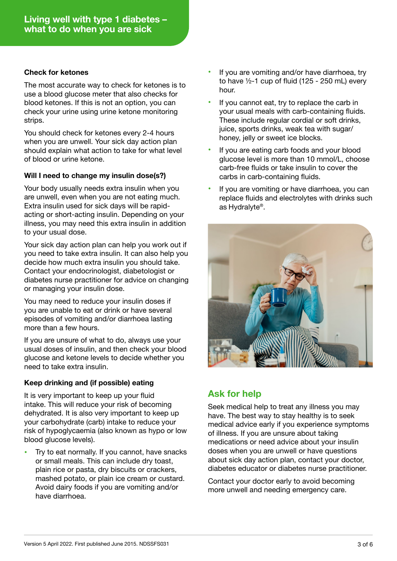#### **Check for ketones**

The most accurate way to check for ketones is to use a blood glucose meter that also checks for blood ketones. If this is not an option, you can check your urine using urine ketone monitoring strips.

You should check for ketones every 2-4 hours when you are unwell. Your sick day action plan should explain what action to take for what level of blood or urine ketone.

#### **Will I need to change my insulin dose(s?)**

Your body usually needs extra insulin when you are unwell, even when you are not eating much. Extra insulin used for sick days will be rapidacting or short-acting insulin. Depending on your illness, you may need this extra insulin in addition to your usual dose.

Your sick day action plan can help you work out if you need to take extra insulin. It can also help you decide how much extra insulin you should take. Contact your endocrinologist, diabetologist or diabetes nurse practitioner for advice on changing or managing your insulin dose.

You may need to reduce your insulin doses if you are unable to eat or drink or have several episodes of vomiting and/or diarrhoea lasting more than a few hours.

If you are unsure of what to do, always use your usual doses of insulin, and then check your blood glucose and ketone levels to decide whether you need to take extra insulin.

#### **Keep drinking and (if possible) eating**

It is very important to keep up your fluid intake. This will reduce your risk of becoming dehydrated. It is also very important to keep up your carbohydrate (carb) intake to reduce your risk of hypoglycaemia (also known as hypo or low blood glucose levels).

**•** Try to eat normally. If you cannot, have snacks or small meals. This can include dry toast, plain rice or pasta, dry biscuits or crackers, mashed potato, or plain ice cream or custard. Avoid dairy foods if you are vomiting and/or have diarrhoea.

- **•** If you are vomiting and/or have diarrhoea, try to have  $\frac{1}{2}$ -1 cup of fluid (125 - 250 mL) every hour.
- **•** If you cannot eat, try to replace the carb in your usual meals with carb-containing fluids. These include regular cordial or soft drinks, juice, sports drinks, weak tea with sugar/ honey, jelly or sweet ice blocks.
- **•** If you are eating carb foods and your blood glucose level is more than 10 mmol/L, choose carb-free fluids or take insulin to cover the carbs in carb-containing fluids.
- **•** If you are vomiting or have diarrhoea, you can replace fluids and electrolytes with drinks such as Hydralyte®.



# **Ask for help**

Seek medical help to treat any illness you may have. The best way to stay healthy is to seek medical advice early if you experience symptoms of illness. If you are unsure about taking medications or need advice about your insulin doses when you are unwell or have questions about sick day action plan, contact your doctor, diabetes educator or diabetes nurse practitioner.

Contact your doctor early to avoid becoming more unwell and needing emergency care.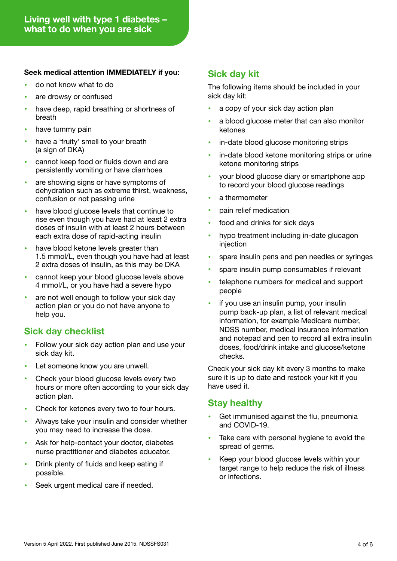#### **Seek medical attention IMMEDIATELY if you:**

- **•** do not know what to do
- **•** are drowsy or confused
- **•** have deep, rapid breathing or shortness of breath
- **•** have tummy pain
- **•** have a 'fruity' smell to your breath (a sign of DKA)
- **•** cannot keep food or fluids down and are persistently vomiting or have diarrhoea
- **•** are showing signs or have symptoms of dehydration such as extreme thirst, weakness, confusion or not passing urine
- **•** have blood glucose levels that continue to rise even though you have had at least 2 extra doses of insulin with at least 2 hours between each extra dose of rapid-acting insulin
- **•** have blood ketone levels greater than 1.5 mmol/L, even though you have had at least 2 extra doses of insulin, as this may be DKA
- **•** cannot keep your blood glucose levels above 4 mmol/L, or you have had a severe hypo
- **•** are not well enough to follow your sick day action plan or you do not have anyone to help you.

# **Sick day checklist**

- **•** Follow your sick day action plan and use your sick day kit.
- Let someone know you are unwell.
- **•** Check your blood glucose levels every two hours or more often according to your sick day action plan.
- **•** Check for ketones every two to four hours.
- **•** Always take your insulin and consider whether you may need to increase the dose.
- **•** Ask for help-contact your doctor, diabetes nurse practitioner and diabetes educator.
- **•** Drink plenty of fluids and keep eating if possible.
- **•** Seek urgent medical care if needed.

## **Sick day kit**

The following items should be included in your sick day kit:

- **•** a copy of your sick day action plan
- **•** a blood glucose meter that can also monitor ketones
- **•** in-date blood glucose monitoring strips
- **•** in-date blood ketone monitoring strips or urine ketone monitoring strips
- **•** your blood glucose diary or smartphone app to record your blood glucose readings
- **•** a thermometer
- **•** pain relief medication
- **•** food and drinks for sick days
- **•** hypo treatment including in-date glucagon injection
- **•** spare insulin pens and pen needles or syringes
- **•** spare insulin pump consumables if relevant
- **•** telephone numbers for medical and support people
- **•** if you use an insulin pump, your insulin pump back-up plan, a list of relevant medical information, for example Medicare number, NDSS number, medical insurance information and notepad and pen to record all extra insulin doses, food/drink intake and glucose/ketone checks.

Check your sick day kit every 3 months to make sure it is up to date and restock your kit if you have used it.

## **Stay healthy**

- **•** Get immunised against the flu, pneumonia and COVID-19.
- Take care with personal hygiene to avoid the spread of germs.
- **•** Keep your blood glucose levels within your target range to help reduce the risk of illness or infections.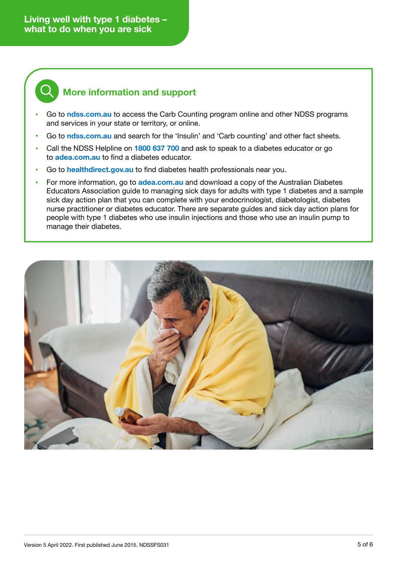**Living well with type 1 diabetes – what to do when you are sick**



# **More information and support**

- **•** Go to **[ndss.com.au](http://ndss.com.au)** to access the Carb Counting program online and other NDSS programs and services in your state or territory, or online.
- **•** Go to **[ndss.com.au](http://ndss.com.au)** and search for the 'Insulin' and 'Carb counting' and other fact sheets.
- **•** Call the NDSS Helpline on **1800 637 700** and ask to speak to a diabetes educator or go to **[adea.com.au](http://adea.com.au)** to find a diabetes educator.
- **•** Go to **[healthdirect.gov.au](http://healthdirect.gov.au)** to find diabetes health professionals near you.
- **•** For more information, go to **[adea.com.au](http://adea.com.au)** and download a copy of the Australian Diabetes Educators Association guide to managing sick days for adults with type 1 diabetes and a sample sick day action plan that you can complete with your endocrinologist, diabetologist, diabetes nurse practitioner or diabetes educator. There are separate guides and sick day action plans for people with type 1 diabetes who use insulin injections and those who use an insulin pump to manage their diabetes.